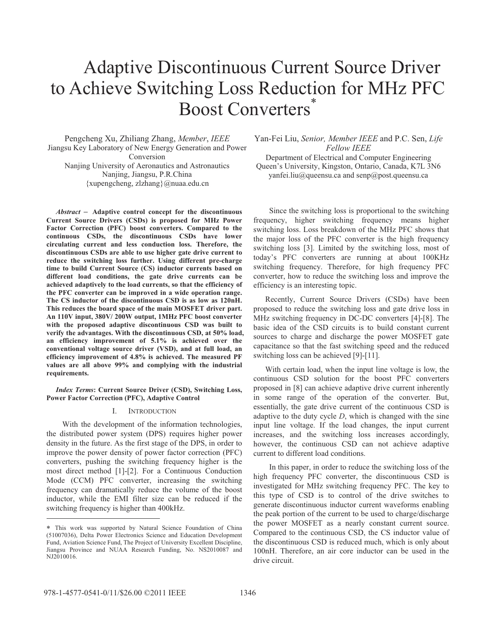# Adaptive Discontinuous Current Source Driver to Achieve Switching Loss Reduction for MHz PFC Boost Converters<sup>\*</sup>

Pengcheng Xu, Zhiliang Zhang, *Member*, *IEEE* Jiangsu Key Laboratory of New Energy Generation and Power Conversion Nanjing University of Aeronautics and Astronautics Nanjing, Jiangsu, P.R.China {xupengcheng, zlzhang}@nuaa.edu.cn

*Abstract* **–** - **Adaptive control concept for the discontinuous Current Source Drivers (CSDs) is proposed for MHz Power Factor Correction (PFC) boost converters. Compared to the continuous CSDs, the discontinuous CSDs have lower circulating current and less conduction loss. Therefore, the discontinuous CSDs are able to use higher gate drive current to reduce the switching loss further. Using different pre-charge time to build Current Source (CS) inductor currents based on different load conditions, the gate drive currents can be achieved adaptively to the load currents, so that the efficiency of the PFC converter can be improved in a wide operation range. The CS inductor of the discontinuous CSD is as low as 120nH. This reduces the board space of the main MOSFET driver part. An 110V input, 380V/ 200W output, 1MHz PFC boost converter with the proposed adaptive discontinuous CSD was built to verify the advantages. With the discontinuous CSD, at 50% load, an efficiency improvement of 5.1% is achieved over the conventional voltage source driver (VSD), and at full load, an efficiency improvement of 4.8% is achieved. The measured PF values are all above 99% and complying with the industrial requirements.** 

*Index Terms***: Current Source Driver (CSD), Switching Loss, Power Factor Correction (PFC), Adaptive Control** 

### I. INTRODUCTION

With the development of the information technologies, the distributed power system (DPS) requires higher power density in the future. As the first stage of the DPS, in order to improve the power density of power factor correction (PFC) converters, pushing the switching frequency higher is the most direct method [1]-[2]. For a Continuous Conduction Mode (CCM) PFC converter, increasing the switching frequency can dramatically reduce the volume of the boost inductor, while the EMI filter size can be reduced if the switching frequency is higher than 400kHz.

Yan-Fei Liu, *Senior, Member IEEE* and P.C. Sen, *Life Fellow IEEE*

Department of Electrical and Computer Engineering Queen's University, Kingston, Ontario, Canada, K7L 3N6 yanfei.liu@queensu.ca and senp@post.queensu.ca

Since the switching loss is proportional to the switching frequency, higher switching frequency means higher switching loss. Loss breakdown of the MHz PFC shows that the major loss of the PFC converter is the high frequency switching loss [3]. Limited by the switching loss, most of today's PFC converters are running at about 100KHz switching frequency. Therefore, for high frequency PFC converter, how to reduce the switching loss and improve the efficiency is an interesting topic.

Recently, Current Source Drivers (CSDs) have been proposed to reduce the switching loss and gate drive loss in MHz switching frequency in DC-DC converters [4]-[8]. The basic idea of the CSD circuits is to build constant current sources to charge and discharge the power MOSFET gate capacitance so that the fast switching speed and the reduced switching loss can be achieved [9]-[11].

With certain load, when the input line voltage is low, the continuous CSD solution for the boost PFC converters proposed in [8] can achieve adaptive drive current inherently in some range of the operation of the converter. But, essentially, the gate drive current of the continuous CSD is adaptive to the duty cycle *D*, which is changed with the sine input line voltage. If the load changes, the input current increases, and the switching loss increases accordingly, however, the continuous CSD can not achieve adaptive current to different load conditions.

In this paper, in order to reduce the switching loss of the high frequency PFC converter, the discontinuous CSD is investigated for MHz switching frequency PFC. The key to this type of CSD is to control of the drive switches to generate discontinuous inductor current waveforms enabling the peak portion of the current to be used to charge/discharge the power MOSFET as a nearly constant current source. Compared to the continuous CSD, the CS inductor value of the discontinuous CSD is reduced much, which is only about 100nH. Therefore, an air core inductor can be used in the drive circuit.

 $\overline{a}$ 

This work was supported by Natural Science Foundation of China (51007036), Delta Power Electronics Science and Education Development Fund, Aviation Science Fund, The Project of University Excellent Discipline, Jiangsu Province and NUAA Research Funding, No. NS2010087 and NJ2010016.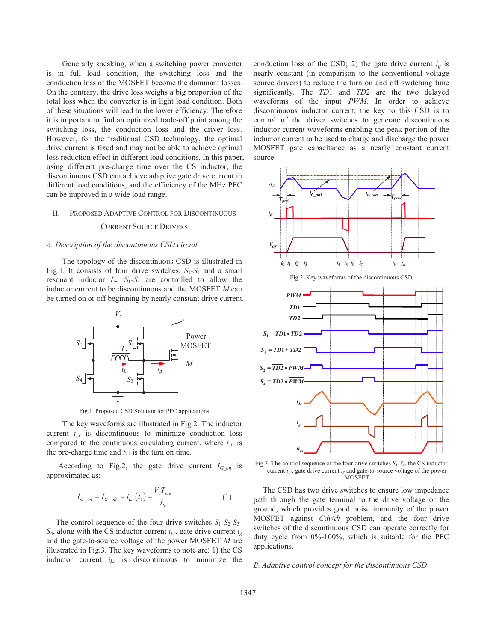Generally speaking, when a switching power converter is in full load condition, the switching loss and the conduction loss of the MOSFET become the dominant losses. On the contrary, the drive loss weighs a big proportion of the total loss when the converter is in light load condition. Both of these situations will lead to the lower efficiency. Therefore it is important to find an optimized trade-off point among the switching loss, the conduction loss and the driver loss. However, for the traditional CSD technology, the optimal drive current is fixed and may not be able to achieve optimal loss reduction effect in different load conditions. In this paper, using different pre-charge time over the CS inductor, the discontinuous CSD can achieve adaptive gate drive current in different load conditions, and the efficiency of the MHz PFC can be improved in a wide load range.

### II. PROPOSED ADAPTIVE CONTROL FOR DISCONTINUOUS

### CURRENT SOURCE DRIVERS

### *A. Description of the discontinuous CSD circuit*

The topology of the discontinuous CSD is illustrated in Fig.1. It consists of four drive switches,  $S_1$ - $S_4$  and a small resonant inductor  $L_r$ .  $S_1-S_4$  are controlled to allow the inductor current to be discontinuous and the MOSFET *M* can be turned on or off beginning by nearly constant drive current.



Fig.1 Proposed CSD Solution for PFC applications

The key waveforms are illustrated in Fig.2. The inductor current  $i_{Lr}$  is discontinuous to minimize conduction loss compared to the continuous circulating current, where  $t_{10}$  is the pre-charge time and  $t_{21}$  is the turn on time.

According to Fig.2, the gate drive current  $I_{G \text{ on }}$  is approximated as:

$$
I_{G_{-}on} = I_{G_{-}off} = i_{Lr} (t_1) = \frac{V_c T_{pre}}{L_r}
$$
 (1)

The control sequence of the four drive switches  $S_1 - S_2 - S_3$  $S_4$ , along with the CS inductor current  $i_{Lr}$ , gate drive current  $i_g$ and the gate-to-source voltage of the power MOSFET *M* are illustrated in Fig.3. The key waveforms to note are: 1) the CS inductor current *iLr* is discontinuous to minimize the conduction loss of the CSD; 2) the gate drive current  $i_g$  is nearly constant (in comparison to the conventional voltage source drivers) to reduce the turn on and off switching time significantly. The *TD*1 and *TD*2 are the two delayed waveforms of the input *PWM*. In order to achieve discontinuous inductor current, the key to this CSD is to control of the driver switches to generate discontinuous inductor current waveforms enabling the peak portion of the inductor current to be used to charge and discharge the power MOSFET gate capacitance as a nearly constant current source.



Fig.2 Key waveforms of the discontinuous CSD



Fig.3 The control sequence of the four drive switches  $S_1$ - $S_4$ , the CS inductor current  $i_{Lr}$ , gate drive current  $i_g$  and gate-to-source voltage of the power MOSFET

The CSD has two drive switches to ensure low impedance path through the gate terminal to the drive voltage or the ground, which provides good noise immunity of the power MOSFET against *Cdv*/*dt* problem, and the four drive switches of the discontinuous CSD can operate correctly for duty cycle from 0%-100%, which is suitable for the PFC applications.

*B. Adaptive control concept for the discontinuous CSD*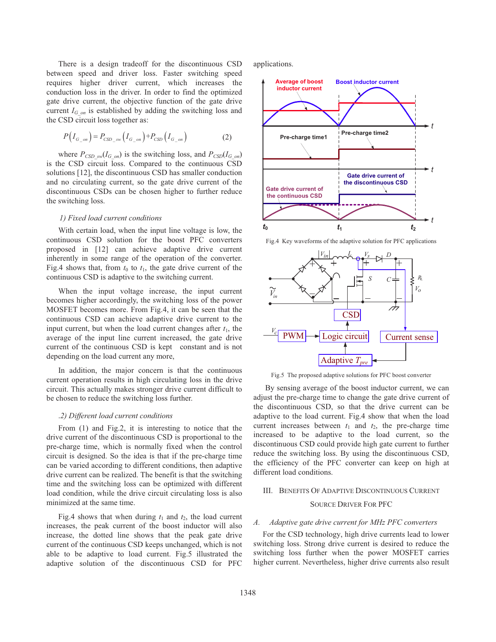There is a design tradeoff for the discontinuous CSD between speed and driver loss. Faster switching speed requires higher driver current, which increases the conduction loss in the driver. In order to find the optimized gate drive current, the objective function of the gate drive current  $I_{G \text{ on }}$  is established by adding the switching loss and the CSD circuit loss together as:

$$
P(I_{G\_on}) = P_{CSD\_sw}(I_{G\_on}) + P_{CSD}(I_{G\_on})
$$
 (2)

where  $P_{\text{CSD sw}}(I_{G \text{ on}})$  is the switching loss, and  $P_{\text{CSD}}(I_{G \text{ on}})$ is the CSD circuit loss. Compared to the continuous CSD solutions [12], the discontinuous CSD has smaller conduction and no circulating current, so the gate drive current of the discontinuous CSDs can be chosen higher to further reduce the switching loss.

### *1) Fixed load current conditions*

With certain load, when the input line voltage is low, the continuous CSD solution for the boost PFC converters proposed in [12] can achieve adaptive drive current inherently in some range of the operation of the converter. Fig.4 shows that, from  $t_0$  to  $t_1$ , the gate drive current of the continuous CSD is adaptive to the switching current.

When the input voltage increase, the input current becomes higher accordingly, the switching loss of the power MOSFET becomes more. From Fig.4, it can be seen that the continuous CSD can achieve adaptive drive current to the input current, but when the load current changes after  $t_1$ , the average of the input line current increased, the gate drive current of the continuous CSD is kept constant and is not depending on the load current any more,

In addition, the major concern is that the continuous current operation results in high circulating loss in the drive circuit. This actually makes stronger drive current difficult to be chosen to reduce the switching loss further.

### .*2) Different load current conditions*

From (1) and Fig.2, it is interesting to notice that the drive current of the discontinuous CSD is proportional to the pre-charge time, which is normally fixed when the control circuit is designed. So the idea is that if the pre-charge time can be varied according to different conditions, then adaptive drive current can be realized. The benefit is that the switching time and the switching loss can be optimized with different load condition, while the drive circuit circulating loss is also minimized at the same time.

Fig.4 shows that when during  $t_1$  and  $t_2$ , the load current increases, the peak current of the boost inductor will also increase, the dotted line shows that the peak gate drive current of the continuous CSD keeps unchanged, which is not able to be adaptive to load current. Fig.5 illustrated the adaptive solution of the discontinuous CSD for PFC

applications.



Fig.4 Key waveforms of the adaptive solution for PFC applications



Fig.5 The proposed adaptive solutions for PFC boost converter

By sensing average of the boost inductor current, we can adjust the pre-charge time to change the gate drive current of the discontinuous CSD, so that the drive current can be adaptive to the load current. Fig.4 show that when the load current increases between  $t_1$  and  $t_2$ , the pre-charge time increased to be adaptive to the load current, so the discontinuous CSD could provide high gate current to further reduce the switching loss. By using the discontinuous CSD, the efficiency of the PFC converter can keep on high at different load conditions.

## III. BENEFITS OF ADAPTIVE DISCONTINUOUS CURRENT SOURCE DRIVER FOR PFC

### *A. Adaptive gate drive current for MHz PFC converters*

For the CSD technology, high drive currents lead to lower switching loss. Strong drive current is desired to reduce the switching loss further when the power MOSFET carries higher current. Nevertheless, higher drive currents also result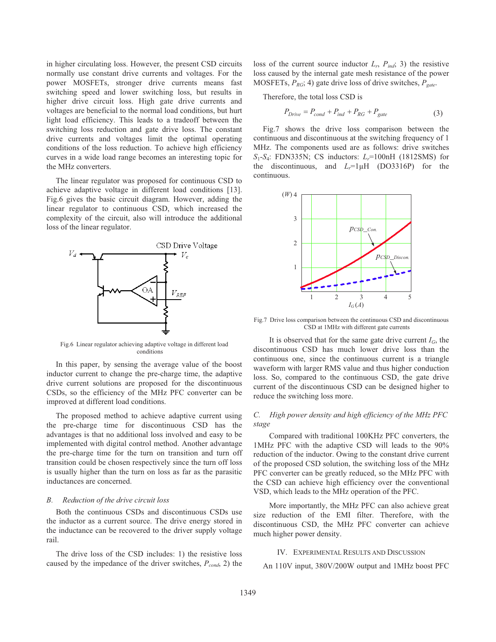in higher circulating loss. However, the present CSD circuits normally use constant drive currents and voltages. For the power MOSFETs, stronger drive currents means fast switching speed and lower switching loss, but results in higher drive circuit loss. High gate drive currents and voltages are beneficial to the normal load conditions, but hurt light load efficiency. This leads to a tradeoff between the switching loss reduction and gate drive loss. The constant drive currents and voltages limit the optimal operating conditions of the loss reduction. To achieve high efficiency curves in a wide load range becomes an interesting topic for the MHz converters.

The linear regulator was proposed for continuous CSD to achieve adaptive voltage in different load conditions [13]. Fig.6 gives the basic circuit diagram. However, adding the linear regulator to continuous CSD, which increased the complexity of the circuit, also will introduce the additional loss of the linear regulator.



Fig.6 Linear regulator achieving adaptive voltage in different load conditions

In this paper, by sensing the average value of the boost inductor current to change the pre-charge time, the adaptive drive current solutions are proposed for the discontinuous CSDs, so the efficiency of the MHz PFC converter can be improved at different load conditions.

The proposed method to achieve adaptive current using the pre-charge time for discontinuous CSD has the advantages is that no additional loss involved and easy to be implemented with digital control method. Another advantage the pre-charge time for the turn on transition and turn off transition could be chosen respectively since the turn off loss is usually higher than the turn on loss as far as the parasitic inductances are concerned.

### *B. Reduction of the drive circuit loss*

Both the continuous CSDs and discontinuous CSDs use the inductor as a current source. The drive energy stored in the inductance can be recovered to the driver supply voltage rail.

The drive loss of the CSD includes: 1) the resistive loss caused by the impedance of the driver switches,  $P_{cond}$ , 2) the

loss of the current source inductor  $L_r$ ,  $P_{ind}$ ; 3) the resistive loss caused by the internal gate mesh resistance of the power MOSFETs, *PRG*; 4) gate drive loss of drive switches, *Pgate*.

Therefore, the total loss CSD is

$$
P_{\text{Drive}} = P_{\text{cond}} + P_{\text{ind}} + P_{\text{RG}} + P_{\text{gate}} \tag{3}
$$

Fig.7 shows the drive loss comparison between the continuous and discontinuous at the switching frequency of 1 MHz. The components used are as follows: drive switches *S*1-*S*4: FDN335N; CS inductors: *Lr*=100nH (1812SMS) for the discontinuous, and  $L_r=1 \mu H$  (DO3316P) for the continuous.



Fig.7 Drive loss comparison between the continuous CSD and discontinuous CSD at 1MHz with different gate currents

It is observed that for the same gate drive current  $I_G$ , the discontinuous CSD has much lower drive loss than the continuous one, since the continuous current is a triangle waveform with larger RMS value and thus higher conduction loss. So, compared to the continuous CSD, the gate drive current of the discontinuous CSD can be designed higher to reduce the switching loss more.

### *C. High power density and high efficiency of the MHz PFC stage*

Compared with traditional 100KHz PFC converters, the 1MHz PFC with the adaptive CSD will leads to the 90% reduction of the inductor. Owing to the constant drive current of the proposed CSD solution, the switching loss of the MHz PFC converter can be greatly reduced, so the MHz PFC with the CSD can achieve high efficiency over the conventional VSD, which leads to the MHz operation of the PFC.

More importantly, the MHz PFC can also achieve great size reduction of the EMI filter. Therefore, with the discontinuous CSD, the MHz PFC converter can achieve much higher power density.

### IV. EXPERIMENTAL RESULTS AND DISCUSSION

An 110V input, 380V/200W output and 1MHz boost PFC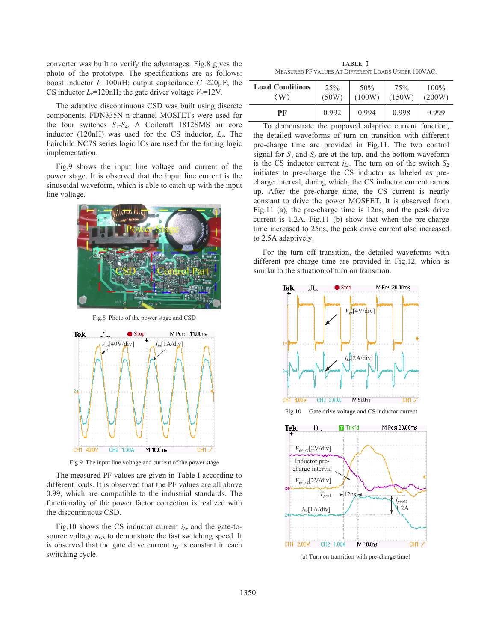converter was built to verify the advantages. Fig.8 gives the photo of the prototype. The specifications are as follows: boost inductor *L*=100μH; output capacitance *C*=220μF; the CS inductor  $L_r = 120$ nH; the gate driver voltage  $V_c = 12$ V.

The adaptive discontinuous CSD was built using discrete components. FDN335N n-channel MOSFETs were used for the four switches *S*1-*S*4. A Coilcraft 1812SMS air core inductor (120nH) was used for the CS inductor, *Lr*. The Fairchild NC7S series logic ICs are used for the timing logic implementation.

Fig.9 shows the input line voltage and current of the power stage. It is observed that the input line current is the sinusoidal waveform, which is able to catch up with the input line voltage.



Fig.8 Photo of the power stage and CSD



Fig.9 The input line voltage and current of the power stage

The measured PF values are given in Table I according to different loads. It is observed that the PF values are all above 0.99, which are compatible to the industrial standards. The functionality of the power factor correction is realized with the discontinuous CSD.

Fig.10 shows the CS inductor current  $i_{Lr}$  and the gate-tosource voltage  $u_{GS}$  to demonstrate the fast switching speed. It is observed that the gate drive current  $i_{Lr}$  is constant in each switching cycle.

**TABLE** ĉ MEASURED PF VALUES AT DIFFERENT LOADS UNDER 100VAC.

| <b>Load Conditions</b> | 25%   | 50%    | 75%    | $100\%$ |
|------------------------|-------|--------|--------|---------|
| $(\mathbf{W})$         | (50W) | (100W) | (150W) | (200W)  |
| РF                     | 0.992 | 0.994  | 0.998  | 0.999   |

To demonstrate the proposed adaptive current function, the detailed waveforms of turn on transition with different pre-charge time are provided in Fig.11. The two control signal for  $S_3$  and  $S_2$  are at the top, and the bottom waveform is the CS inductor current  $i_{Lr}$ . The turn on of the switch  $S_2$ initiates to pre-charge the CS inductor as labeled as precharge interval, during which, the CS inductor current ramps up. After the pre-charge time, the CS current is nearly constant to drive the power MOSFET. It is observed from Fig.11 (a), the pre-charge time is 12ns, and the peak drive current is 1.2A. Fig.11 (b) show that when the pre-charge time increased to 25ns, the peak drive current also increased to 2.5A adaptively.

For the turn off transition, the detailed waveforms with different pre-charge time are provided in Fig.12, which is similar to the situation of turn on transition.



(a) Turn on transition with pre-charge time1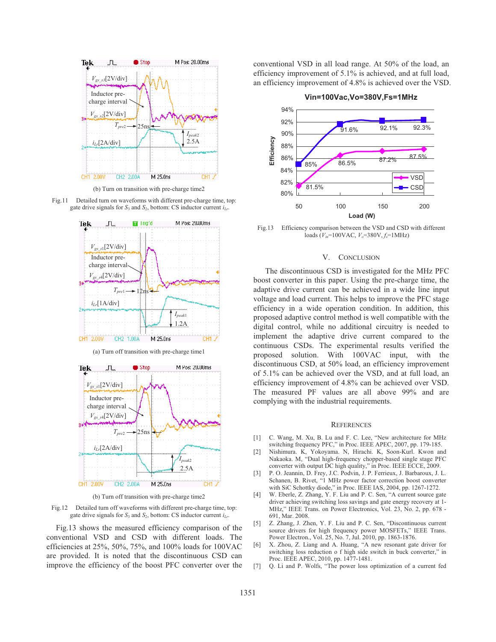

(b) Turn on transition with pre-charge time2

Fig.11 Detailed turn on waveforms with different pre-charge time, top: gate drive signals for  $S_3$  and  $S_2$ , bottom: CS inductor current  $i_{Lr}$ .



(a) Turn off transition with pre-charge time1



(b) Turn off transition with pre-charge time2

Fig.12 Detailed turn off waveforms with different pre-charge time, top: gate drive signals for  $S_3$  and  $S_2$ , bottom: CS inductor current  $i_{Lr}$ .

Fig.13 shows the measured efficiency comparison of the conventional VSD and CSD with different loads. The efficiencies at 25%, 50%, 75%, and 100% loads for 100VAC are provided. It is noted that the discontinuous CSD can improve the efficiency of the boost PFC converter over the conventional VSD in all load range. At 50% of the load, an efficiency improvement of 5.1% is achieved, and at full load, an efficiency improvement of 4.8% is achieved over the VSD.



Fig.13 Efficiency comparison between the VSD and CSD with different loads  $(V_{in} = 100 \text{VAC}, V_o = 380 \text{V}, f_s = 1 \text{MHz})$ 

### V. CONCLUSION

The discontinuous CSD is investigated for the MHz PFC boost converter in this paper. Using the pre-charge time, the adaptive drive current can be achieved in a wide line input voltage and load current. This helps to improve the PFC stage efficiency in a wide operation condition. In addition, this proposed adaptive control method is well compatible with the digital control, while no additional circuitry is needed to implement the adaptive drive current compared to the continuous CSDs. The experimental results verified the proposed solution. With 100VAC input, with the discontinuous CSD, at 50% load, an efficiency improvement of 5.1% can be achieved over the VSD, and at full load, an efficiency improvement of 4.8% can be achieved over VSD. The measured PF values are all above 99% and are complying with the industrial requirements.

#### **REFERENCES**

- [1] C. Wang, M. Xu, B. Lu and F. C. Lee, "New architecture for MHz switching frequency PFC," in Proc. IEEE APEC, 2007, pp. 179-185.
- [2] Nishimura. K, Yokoyama. N, Hirachi. K, Soon-Kurl. Kwon and Nakaoka. M, "Dual high-frequency chopper-based single stage PFC converter with output DC high quality," in Proc. IEEE ECCE, 2009.
- [3] P. O. Jeannin, D. Frey, J.C. Podvin, J. P. Ferrieux, J. Barbaroux, J. L. Schanen, B. Rivet, "1 MHz power factor correction boost converter with SiC Schottky diode," in Proc. IEEE IAS, 2004, pp. 1267-1272.
- [4] W. Eberle, Z. Zhang, Y. F. Liu and P. C. Sen, "A current source gate driver achieving switching loss savings and gate energy recovery at 1- MHz," IEEE Trans. on Power Electronics, Vol. 23, No. 2, pp. 678 - 691, Mar. 2008.
- [5] Z. Zhang, J. Zhen, Y. F. Liu and P. C. Sen, "Discontinuous current source drivers for high frequency power MOSFETs," IEEE Trans. Power Electron., Vol. 25, No. 7, Jul. 2010, pp. 1863-1876.
- [6] X. Zhou, Z. Liang and A. Huang, "A new resonant gate driver for switching loss reduction o f high side switch in buck converter," in Proc. IEEE APEC, 2010, pp. 1477-1481.
- [7] Q. Li and P. Wolfs, "The power loss optimization of a current fed